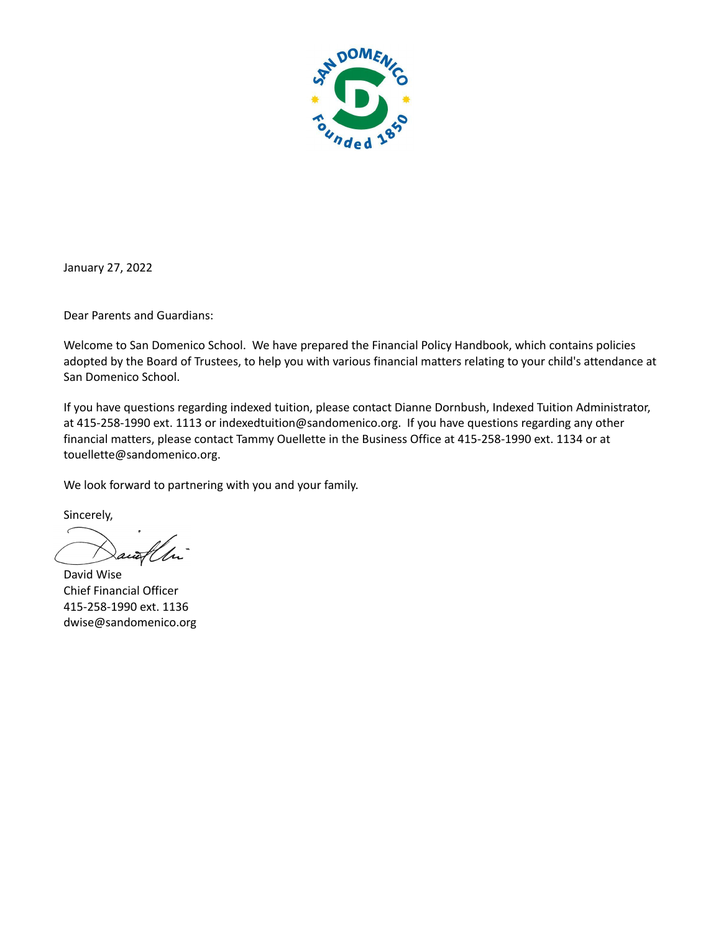

January 27, 2022

Dear Parents and Guardians:

Welcome to San Domenico School. We have prepared the Financial Policy Handbook, which contains policies adopted by the Board of Trustees, to help you with various financial matters relating to your child's attendance at San Domenico School.

If you have questions regarding indexed tuition, please contact Dianne Dornbush, Indexed Tuition Administrator, at 415-258-1990 ext. 1113 or indexedtuition@sandomenico.org. If you have questions regarding any other financial matters, please contact Tammy Ouellette in the Business Office at 415-258-1990 ext. 1134 or at touellette@sandomenico.org.

We look forward to partnering with you and your family.

Sincerely,

David Wise Chief Financial Officer 415-258-1990 ext. 1136 dwise@sandomenico.org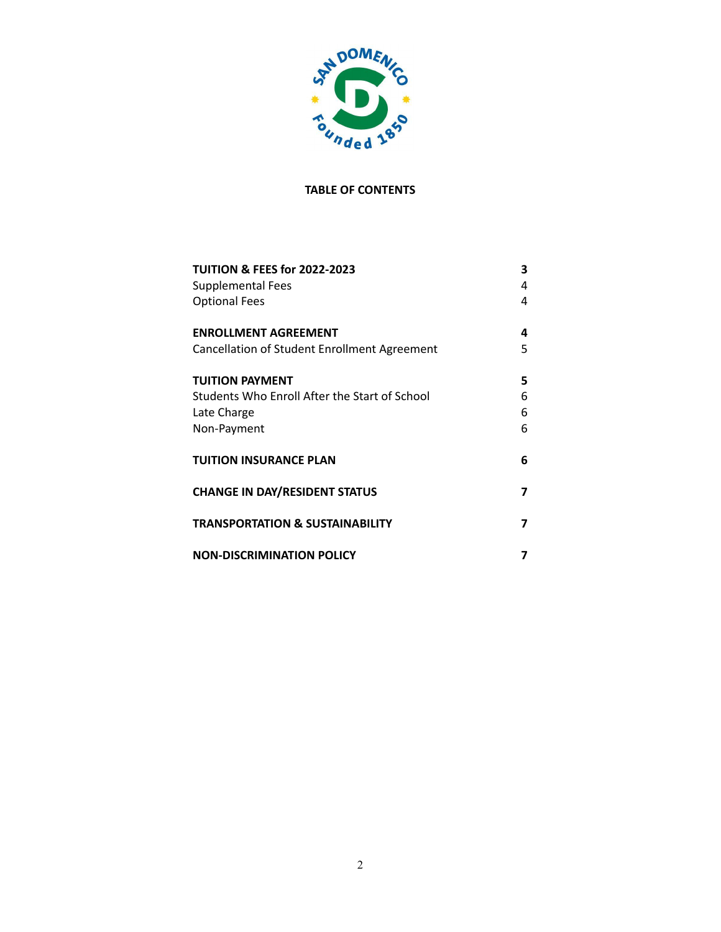

# **TABLE OF CONTENTS**

| <b>TUITION &amp; FEES for 2022-2023</b><br><b>Supplemental Fees</b><br><b>Optional Fees</b>           | 3<br>4<br>4      |
|-------------------------------------------------------------------------------------------------------|------------------|
| <b>ENROLLMENT AGREEMENT</b><br>Cancellation of Student Enrollment Agreement                           | 4<br>5           |
| <b>TUITION PAYMENT</b><br>Students Who Enroll After the Start of School<br>Late Charge<br>Non-Payment | 5<br>6<br>6<br>6 |
| <b>TUITION INSURANCE PLAN</b>                                                                         | 6                |
| <b>CHANGE IN DAY/RESIDENT STATUS</b>                                                                  | 7                |
| <b>TRANSPORTATION &amp; SUSTAINABILITY</b>                                                            | 7                |
| <b>NON-DISCRIMINATION POLICY</b>                                                                      |                  |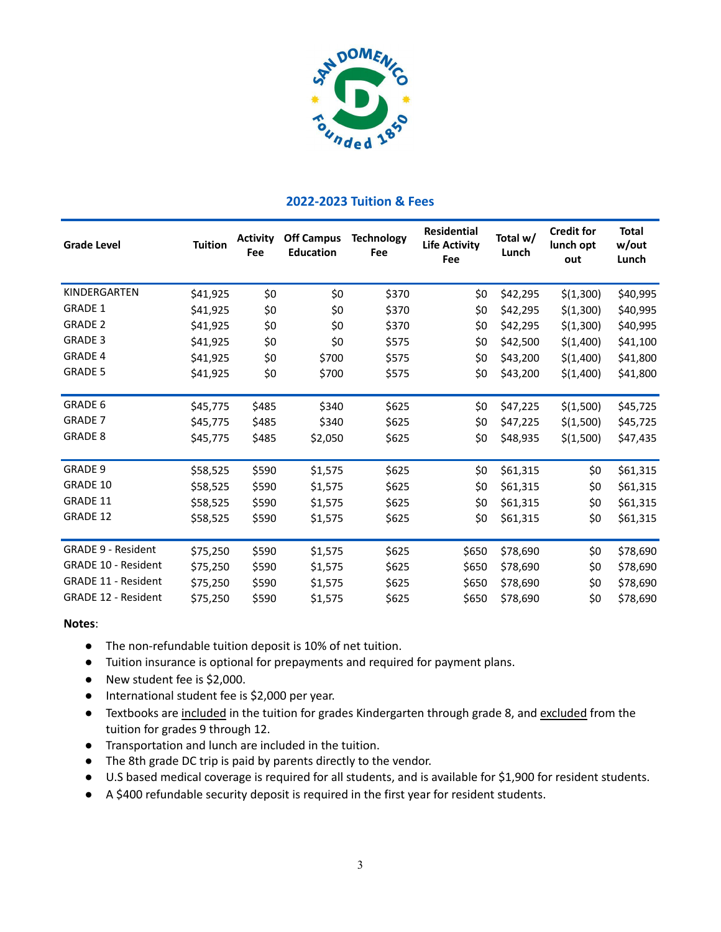

# **2022-2023 Tuition & Fees**

| <b>Grade Level</b>         | <b>Tuition</b> | <b>Activity</b><br>Fee | <b>Off Campus</b><br><b>Education</b> | <b>Technology</b><br>Fee | <b>Residential</b><br><b>Life Activity</b><br>Fee | Total w/<br>Lunch | <b>Credit for</b><br>lunch opt<br>out | <b>Total</b><br>w/out<br>Lunch |
|----------------------------|----------------|------------------------|---------------------------------------|--------------------------|---------------------------------------------------|-------------------|---------------------------------------|--------------------------------|
| KINDERGARTEN               | \$41,925       | \$0                    | \$0                                   | \$370                    | \$0                                               | \$42,295          | \$(1,300)                             | \$40,995                       |
| <b>GRADE 1</b>             | \$41,925       | \$0                    | \$0                                   | \$370                    | \$0                                               | \$42,295          | \$(1,300)                             | \$40,995                       |
| <b>GRADE 2</b>             | \$41,925       | \$0                    | \$0                                   | \$370                    | \$0                                               | \$42,295          | \$(1,300)                             | \$40,995                       |
| <b>GRADE 3</b>             | \$41,925       | \$0                    | \$0                                   | \$575                    | \$0                                               | \$42,500          | \$(1,400)                             | \$41,100                       |
| <b>GRADE 4</b>             | \$41,925       | \$0                    | \$700                                 | \$575                    | \$0                                               | \$43,200          | \$(1,400)                             | \$41,800                       |
| <b>GRADE 5</b>             | \$41,925       | \$0                    | \$700                                 | \$575                    | \$0                                               | \$43,200          | \$(1,400)                             | \$41,800                       |
| <b>GRADE 6</b>             | \$45,775       | \$485                  | \$340                                 | \$625                    | \$0                                               | \$47,225          | \$(1,500)                             | \$45,725                       |
| <b>GRADE 7</b>             | \$45,775       | \$485                  | \$340                                 | \$625                    | \$0                                               | \$47,225          | \$(1,500)                             | \$45,725                       |
| <b>GRADE 8</b>             | \$45,775       | \$485                  | \$2,050                               | \$625                    | \$0                                               | \$48,935          | \$(1,500)                             | \$47,435                       |
| <b>GRADE 9</b>             | \$58,525       | \$590                  | \$1,575                               | \$625                    | \$0                                               | \$61,315          | \$0                                   | \$61,315                       |
| GRADE 10                   | \$58,525       | \$590                  | \$1,575                               | \$625                    | \$0                                               | \$61,315          | \$0                                   | \$61,315                       |
| GRADE 11                   | \$58,525       | \$590                  | \$1,575                               | \$625                    | \$0                                               | \$61,315          | \$0                                   | \$61,315                       |
| GRADE 12                   | \$58,525       | \$590                  | \$1,575                               | \$625                    | \$0                                               | \$61,315          | \$0                                   | \$61,315                       |
| <b>GRADE 9 - Resident</b>  | \$75,250       | \$590                  | \$1,575                               | \$625                    | \$650                                             | \$78,690          | \$0                                   | \$78,690                       |
| <b>GRADE 10 - Resident</b> | \$75,250       | \$590                  | \$1,575                               | \$625                    | \$650                                             | \$78,690          | \$0                                   | \$78,690                       |
| <b>GRADE 11 - Resident</b> | \$75,250       | \$590                  | \$1,575                               | \$625                    | \$650                                             | \$78,690          | \$0                                   | \$78,690                       |
| <b>GRADE 12 - Resident</b> | \$75,250       | \$590                  | \$1,575                               | \$625                    | \$650                                             | \$78,690          | \$0                                   | \$78,690                       |

#### **Notes**:

- The non-refundable tuition deposit is 10% of net tuition.
- Tuition insurance is optional for prepayments and required for payment plans.
- New student fee is \$2,000.
- International student fee is \$2,000 per year.
- Textbooks are included in the tuition for grades Kindergarten through grade 8, and excluded from the tuition for grades 9 through 12.
- Transportation and lunch are included in the tuition.
- The 8th grade DC trip is paid by parents directly to the vendor.
- U.S based medical coverage is required for all students, and is available for \$1,900 for resident students.
- **●** A \$400 refundable security deposit is required in the first year for resident students.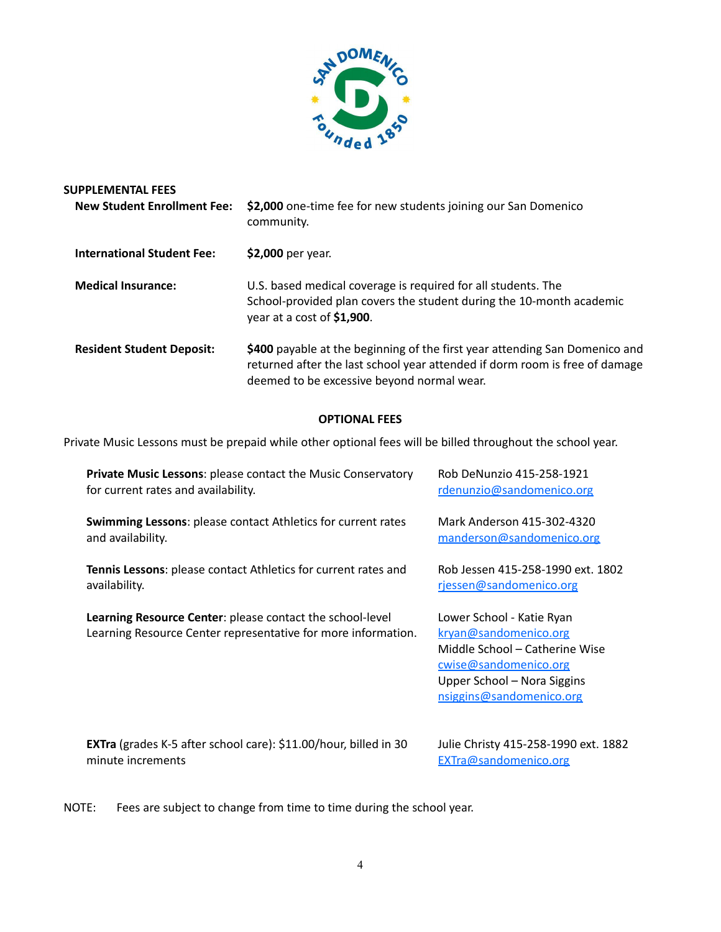

| <b>SUPPLEMENTAL FEES</b><br><b>New Student Enrollment Fee:</b> | \$2,000 one-time fee for new students joining our San Domenico<br>community.                                                                                                                             |
|----------------------------------------------------------------|----------------------------------------------------------------------------------------------------------------------------------------------------------------------------------------------------------|
| <b>International Student Fee:</b>                              | \$2,000 per year.                                                                                                                                                                                        |
| <b>Medical Insurance:</b>                                      | U.S. based medical coverage is required for all students. The<br>School-provided plan covers the student during the 10-month academic<br>year at a cost of \$1,900.                                      |
| <b>Resident Student Deposit:</b>                               | \$400 payable at the beginning of the first year attending San Domenico and<br>returned after the last school year attended if dorm room is free of damage<br>deemed to be excessive beyond normal wear. |

# **OPTIONAL FEES**

Private Music Lessons must be prepaid while other optional fees will be billed throughout the school year.

| <b>Private Music Lessons: please contact the Music Conservatory</b>                                                        | Rob DeNunzio 415-258-1921                                                                                                                                                |
|----------------------------------------------------------------------------------------------------------------------------|--------------------------------------------------------------------------------------------------------------------------------------------------------------------------|
| for current rates and availability.                                                                                        | rdenunzio@sandomenico.org                                                                                                                                                |
| <b>Swimming Lessons:</b> please contact Athletics for current rates                                                        | Mark Anderson 415-302-4320                                                                                                                                               |
| and availability.                                                                                                          | manderson@sandomenico.org                                                                                                                                                |
| Tennis Lessons: please contact Athletics for current rates and                                                             | Rob Jessen 415-258-1990 ext. 1802                                                                                                                                        |
| availability.                                                                                                              | rjessen@sandomenico.org                                                                                                                                                  |
| Learning Resource Center: please contact the school-level<br>Learning Resource Center representative for more information. | Lower School - Katie Ryan<br>kryan@sandomenico.org<br>Middle School - Catherine Wise<br>cwise@sandomenico.org<br>Upper School - Nora Siggins<br>nsiggins@sandomenico.org |
| <b>EXTra</b> (grades K-5 after school care): \$11.00/hour, billed in 30                                                    | Julie Christy 415-258-1990 ext. 1882                                                                                                                                     |
| minute increments                                                                                                          | EXTra@sandomenico.org                                                                                                                                                    |

NOTE: Fees are subject to change from time to time during the school year.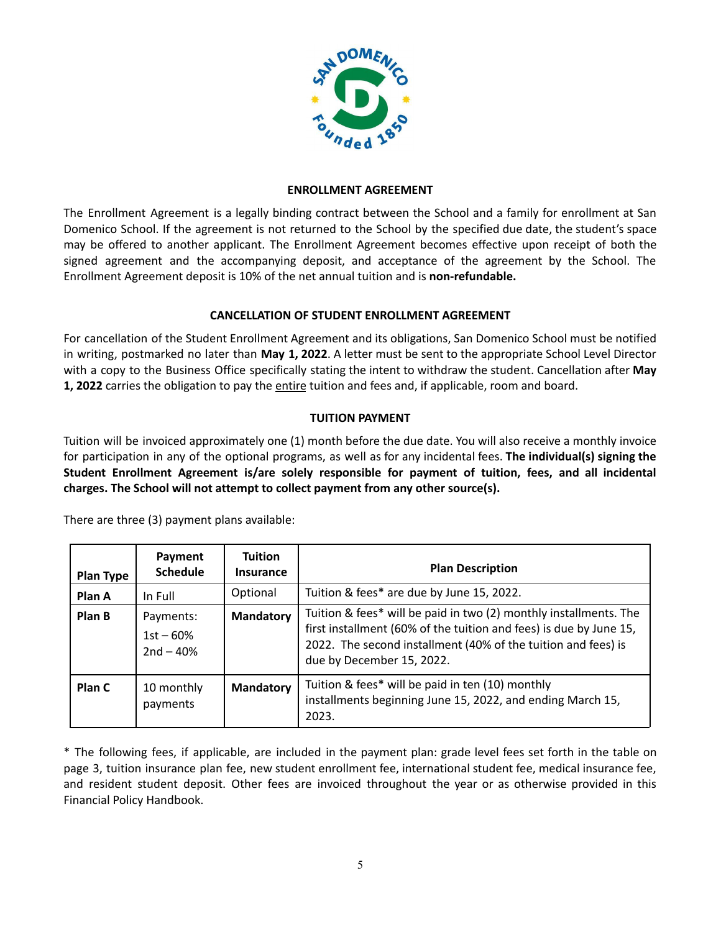

### **ENROLLMENT AGREEMENT**

The Enrollment Agreement is a legally binding contract between the School and a family for enrollment at San Domenico School. If the agreement is not returned to the School by the specified due date, the student's space may be offered to another applicant. The Enrollment Agreement becomes effective upon receipt of both the signed agreement and the accompanying deposit, and acceptance of the agreement by the School. The Enrollment Agreement deposit is 10% of the net annual tuition and is **non-refundable.**

# **CANCELLATION OF STUDENT ENROLLMENT AGREEMENT**

For cancellation of the Student Enrollment Agreement and its obligations, San Domenico School must be notified in writing, postmarked no later than **May 1, 2022**. A letter must be sent to the appropriate School Level Director with a copy to the Business Office specifically stating the intent to withdraw the student. Cancellation after **May 1, 2022** carries the obligation to pay the entire tuition and fees and, if applicable, room and board.

# **TUITION PAYMENT**

Tuition will be invoiced approximately one (1) month before the due date. You will also receive a monthly invoice for participation in any of the optional programs, as well as for any incidental fees. **The individual(s) signing the Student Enrollment Agreement is/are solely responsible for payment of tuition, fees, and all incidental charges. The School will not attempt to collect payment from any other source(s).**

| <b>Plan Type</b> | Payment<br><b>Schedule</b>              | <b>Tuition</b><br><b>Insurance</b> | <b>Plan Description</b>                                                                                                                                                                                                               |
|------------------|-----------------------------------------|------------------------------------|---------------------------------------------------------------------------------------------------------------------------------------------------------------------------------------------------------------------------------------|
| Plan A           | In Full                                 | Optional                           | Tuition & fees* are due by June 15, 2022.                                                                                                                                                                                             |
| Plan B           | Payments:<br>$1st - 60%$<br>$2nd - 40%$ | <b>Mandatory</b>                   | Tuition & fees* will be paid in two (2) monthly installments. The<br>first installment (60% of the tuition and fees) is due by June 15,<br>2022. The second installment (40% of the tuition and fees) is<br>due by December 15, 2022. |
| Plan C           | 10 monthly<br>payments                  | <b>Mandatory</b>                   | Tuition & fees* will be paid in ten (10) monthly<br>installments beginning June 15, 2022, and ending March 15,<br>2023.                                                                                                               |

There are three (3) payment plans available:

\* The following fees, if applicable, are included in the payment plan: grade level fees set forth in the table on page 3, tuition insurance plan fee, new student enrollment fee, international student fee, medical insurance fee, and resident student deposit. Other fees are invoiced throughout the year or as otherwise provided in this Financial Policy Handbook.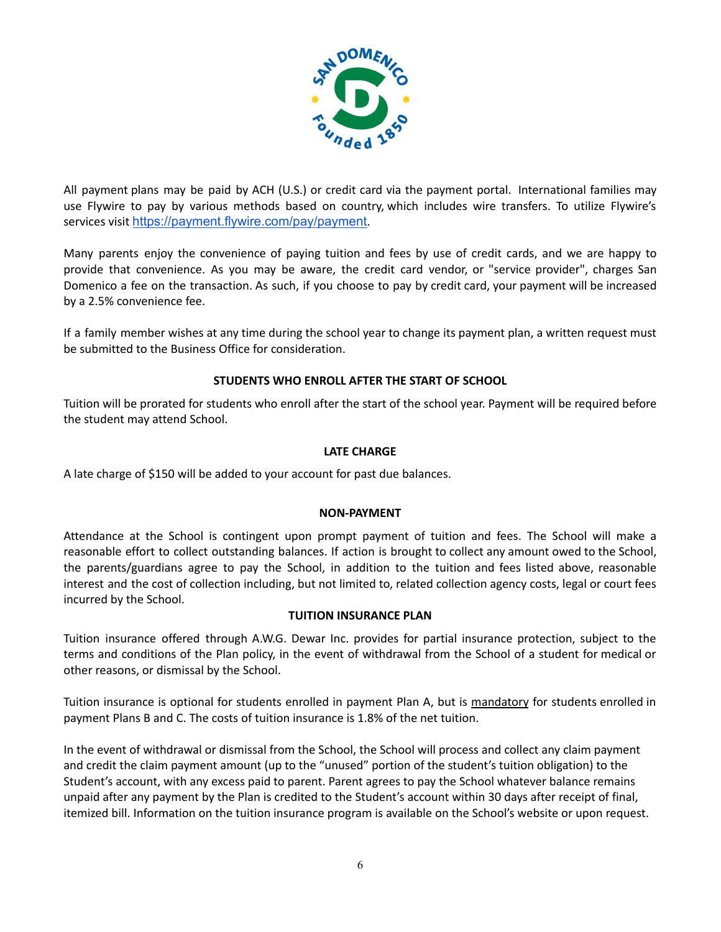

All payment plans may be paid by ACH (U.S.) or credit card via the payment portal. International families may use Flywire to pay by various methods based on country, which includes wire transfers. To utilize Flywire's services visit <https://payment.flywire.com/pay/payment>.

Many parents enjoy the convenience of paying tuition and fees by use of credit cards, and we are happy to provide that convenience. As you may be aware, the credit card vendor, or "service provider", charges San Domenico a fee on the transaction. As such, if you choose to pay by credit card, your payment will be increased by a 2.5% convenience fee.

If a family member wishes at any time during the school year to change its payment plan, a written request must be submitted to the Business Office for consideration.

# **STUDENTS WHO ENROLL AFTER THE START OF SCHOOL**

Tuition will be prorated for students who enroll after the start of the school year. Payment will be required before the student may attend School.

#### **LATE CHARGE**

A late charge of \$150 will be added to your account for past due balances.

#### **NON-PAYMENT**

Attendance at the School is contingent upon prompt payment of tuition and fees. The School will make a reasonable effort to collect outstanding balances. If action is brought to collect any amount owed to the School, the parents/guardians agree to pay the School, in addition to the tuition and fees listed above, reasonable interest and the cost of collection including, but not limited to, related collection agency costs, legal or court fees incurred by the School.

#### **TUITION INSURANCE PLAN**

Tuition insurance offered through A.W.G. Dewar Inc. provides for partial insurance protection, subject to the terms and conditions of the Plan policy, in the event of withdrawal from the School of a student for medical or other reasons, or dismissal by the School.

Tuition insurance is optional for students enrolled in payment Plan A, but is mandatory for students enrolled in payment Plans B and C. The costs of tuition insurance is 1.8% of the net tuition.

In the event of withdrawal or dismissal from the School, the School will process and collect any claim payment and credit the claim payment amount (up to the "unused" portion of the student's tuition obligation) to the Student's account, with any excess paid to parent. Parent agrees to pay the School whatever balance remains unpaid after any payment by the Plan is credited to the Student's account within 30 days after receipt of final, itemized bill. Information on the tuition insurance program is available on the School's website or upon request.